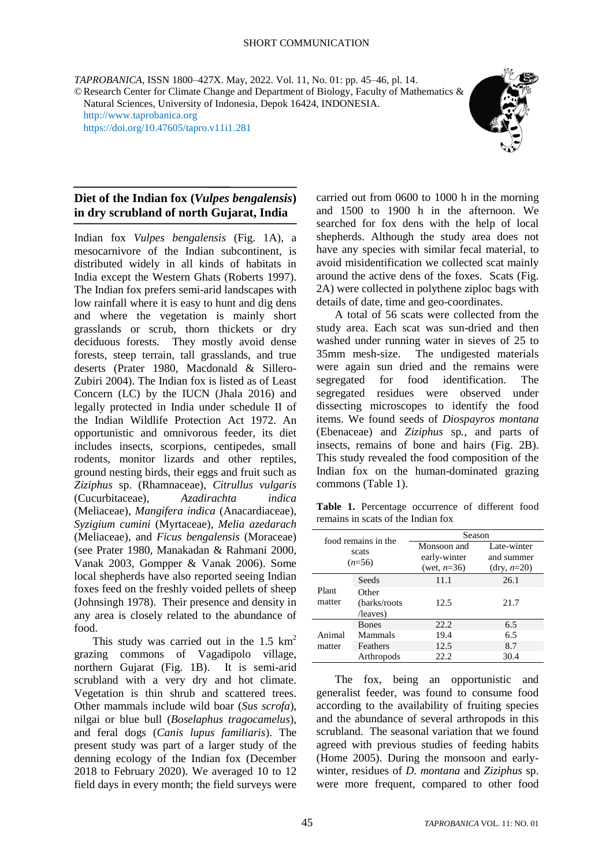*TAPROBANICA*, ISSN 1800–427X. May, 2022. Vol. 11, No. 01: pp. 45–46, pl. 14. ©Research Center for Climate Change and Department of Biology, Faculty of Mathematics & Natural Sciences, University of Indonesia, Depok 16424, INDONESIA. [http://www.taprobanica.org](http://www.taprobanica.org/)

<https://doi.org/10.47605/tapro.v11i1.281>



## **Diet of the Indian fox (***Vulpes bengalensis***) in dry scrubland of north Gujarat, India**

Indian fox *Vulpes bengalensis* (Fig. 1A), a mesocarnivore of the Indian subcontinent, is distributed widely in all kinds of habitats in India except the Western Ghats (Roberts 1997). The Indian fox prefers semi-arid landscapes with low rainfall where it is easy to hunt and dig dens and where the vegetation is mainly short grasslands or scrub, thorn thickets or dry deciduous forests. They mostly avoid dense forests, steep terrain, tall grasslands, and true deserts (Prater 1980, Macdonald & Sillero-Zubiri 2004). The Indian fox is listed as of Least Concern (LC) by the IUCN (Jhala 2016) and legally protected in India under schedule II of the Indian Wildlife Protection Act 1972. An opportunistic and omnivorous feeder, its diet includes insects, scorpions, centipedes, small rodents, monitor lizards and other reptiles, ground nesting birds, their eggs and fruit such as *Ziziphus* sp. (Rhamnaceae)*, Citrullus vulgaris* (Cucurbitaceae)*, Azadirachta indica* (Meliaceae), *Mangifera indica* (Anacardiaceae), *Syzigium cumini* (Myrtaceae), *Melia azedarach* (Meliaceae), and *Ficus bengalensis* (Moraceae) (see Prater 1980, Manakadan & Rahmani 2000, Vanak 2003, Gompper & Vanak 2006). Some local shepherds have also reported seeing Indian foxes feed on the freshly voided pellets of sheep (Johnsingh 1978). Their presence and density in any area is closely related to the abundance of food.

This study was carried out in the 1.5  $\text{km}^2$ grazing commons of Vagadipolo village, northern Gujarat (Fig. 1B). It is semi-arid scrubland with a very dry and hot climate. Vegetation is thin shrub and scattered trees. Other mammals include wild boar (*Sus scrofa*), nilgai or blue bull (*Boselaphus tragocamelus*), and feral dogs (*Canis lupus familiaris*). The present study was part of a larger study of the denning ecology of the Indian fox (December 2018 to February 2020). We averaged 10 to 12 field days in every month; the field surveys were

carried out from 0600 to 1000 h in the morning and 1500 to 1900 h in the afternoon. We searched for fox dens with the help of local shepherds. Although the study area does not have any species with similar fecal material, to avoid misidentification we collected scat mainly around the active dens of the foxes. Scats (Fig. 2A) were collected in polythene ziploc bags with details of date, time and geo-coordinates.

A total of 56 scats were collected from the study area. Each scat was sun-dried and then washed under running water in sieves of 25 to 35mm mesh-size. The undigested materials were again sun dried and the remains were segregated for food identification. The segregated residues were observed under dissecting microscopes to identify the food items. We found seeds of *Diospayros montana* (Ebenaceae) and *Ziziphus* sp*.,* and parts of insects, remains of bone and hairs (Fig. 2B). This study revealed the food composition of the Indian fox on the human-dominated grazing commons (Table 1).

**Table 1.** Percentage occurrence of different food remains in scats of the Indian fox

| food remains in the<br>scats<br>$(n=56)$ |               | Season         |                      |
|------------------------------------------|---------------|----------------|----------------------|
|                                          |               | Monsoon and    | Late-winter          |
|                                          |               | early-winter   | and summer           |
|                                          |               | (wet, $n=36$ ) | $(\text{dry}, n=20)$ |
| Plant<br>matter                          | Seeds         | 11.1           | 26.1                 |
|                                          | Other         |                |                      |
|                                          | (barks/roots) | 12.5           | 21.7                 |
|                                          | /leaves)      |                |                      |
| Animal<br>matter                         | <b>Bones</b>  | 22.2           | 6.5                  |
|                                          | Mammals       | 19.4           | 6.5                  |
|                                          | Feathers      | 12.5           | 8.7                  |
|                                          | Arthropods    | 22.2           | 30.4                 |

The fox, being an opportunistic and generalist feeder, was found to consume food according to the availability of fruiting species and the abundance of several arthropods in this scrubland. The seasonal variation that we found agreed with previous studies of feeding habits (Home 2005). During the monsoon and earlywinter, residues of *D. montana* and *Ziziphus* sp. were more frequent, compared to other food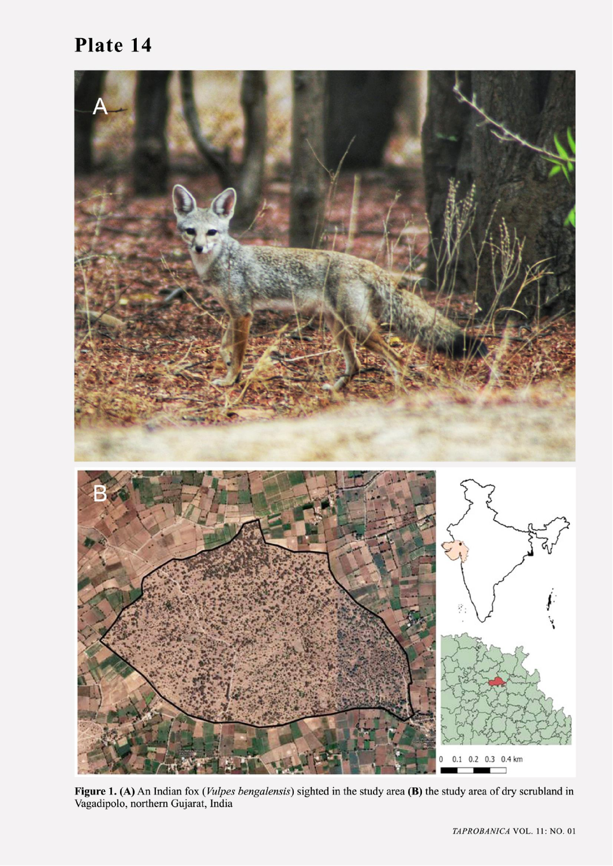## Plate 14



Figure 1. (A) An Indian fox (*Vulpes bengalensis*) sighted in the study area (B) the study area of dry scrubland in Vagadipolo, northern Gujarat, India